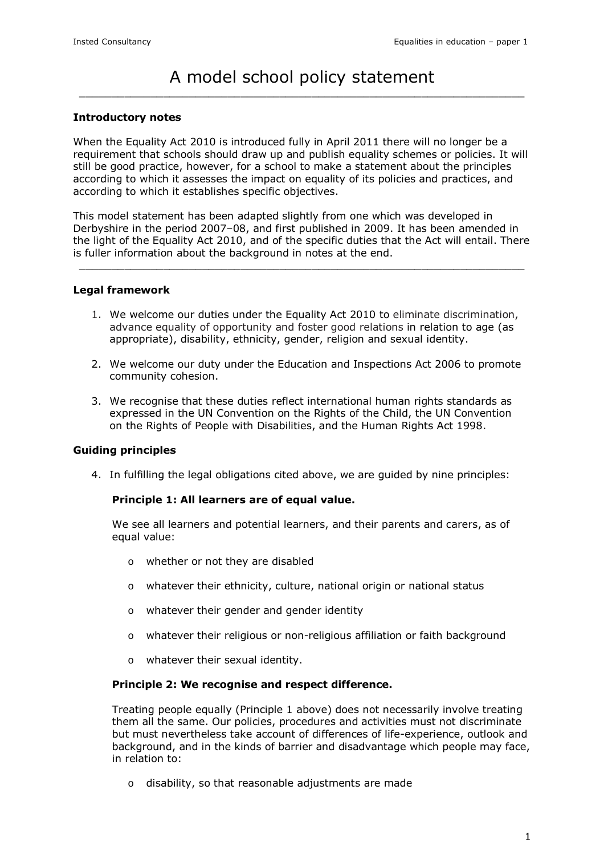# A model school policy statement  $\overline{a_1}$  ,  $\overline{a_2}$  ,  $\overline{a_3}$  ,  $\overline{a_4}$  ,  $\overline{a_5}$  ,  $\overline{a_6}$  ,  $\overline{a_7}$  ,  $\overline{a_8}$  ,  $\overline{a_9}$  ,  $\overline{a_9}$  ,  $\overline{a_9}$  ,  $\overline{a_9}$  ,  $\overline{a_9}$  ,  $\overline{a_9}$  ,  $\overline{a_9}$  ,  $\overline{a_9}$  ,  $\overline{a_9}$  ,

### Introductory notes

When the Equality Act 2010 is introduced fully in April 2011 there will no longer be a requirement that schools should draw up and publish equality schemes or policies. It will still be good practice, however, for a school to make a statement about the principles according to which it assesses the impact on equality of its policies and practices, and according to which it establishes specific objectives.

This model statement has been adapted slightly from one which was developed in Derbyshire in the period 2007–08, and first published in 2009. It has been amended in the light of the Equality Act 2010, and of the specific duties that the Act will entail. There is fuller information about the background in notes at the end.

 $\overline{a_1}$  ,  $\overline{a_2}$  ,  $\overline{a_3}$  ,  $\overline{a_4}$  ,  $\overline{a_5}$  ,  $\overline{a_6}$  ,  $\overline{a_7}$  ,  $\overline{a_8}$  ,  $\overline{a_9}$  ,  $\overline{a_9}$  ,  $\overline{a_9}$  ,  $\overline{a_9}$  ,  $\overline{a_9}$  ,  $\overline{a_9}$  ,  $\overline{a_9}$  ,  $\overline{a_9}$  ,  $\overline{a_9}$  ,

#### Legal framework

- 1. We welcome our duties under the Equality Act 2010 to eliminate discrimination, advance equality of opportunity and foster good relations in relation to age (as appropriate), disability, ethnicity, gender, religion and sexual identity.
- 2. We welcome our duty under the Education and Inspections Act 2006 to promote community cohesion.
- 3. We recognise that these duties reflect international human rights standards as expressed in the UN Convention on the Rights of the Child, the UN Convention on the Rights of People with Disabilities, and the Human Rights Act 1998.

#### Guiding principles

4. In fulfilling the legal obligations cited above, we are guided by nine principles:

#### Principle 1: All learners are of equal value.

We see all learners and potential learners, and their parents and carers, as of equal value:

- o whether or not they are disabled
- o whatever their ethnicity, culture, national origin or national status
- o whatever their gender and gender identity
- o whatever their religious or non-religious affiliation or faith background
- o whatever their sexual identity.

#### Principle 2: We recognise and respect difference.

Treating people equally (Principle 1 above) does not necessarily involve treating them all the same. Our policies, procedures and activities must not discriminate but must nevertheless take account of differences of life-experience, outlook and background, and in the kinds of barrier and disadvantage which people may face, in relation to:

o disability, so that reasonable adjustments are made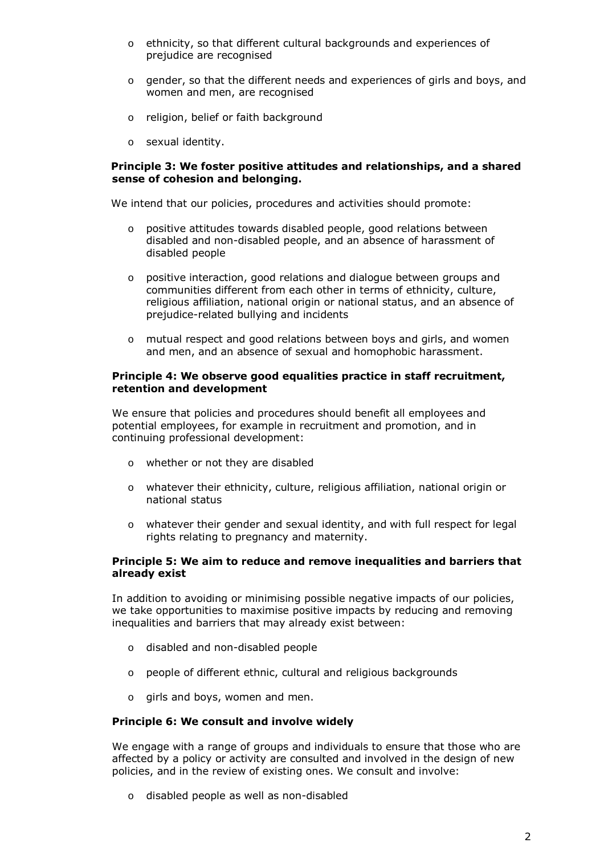- o ethnicity, so that different cultural backgrounds and experiences of prejudice are recognised
- o gender, so that the different needs and experiences of girls and boys, and women and men, are recognised
- o religion, belief or faith background
- o sexual identity.

### Principle 3: We foster positive attitudes and relationships, and a shared sense of cohesion and belonging.

We intend that our policies, procedures and activities should promote:

- o positive attitudes towards disabled people, good relations between disabled and non-disabled people, and an absence of harassment of disabled people
- o positive interaction, good relations and dialogue between groups and communities different from each other in terms of ethnicity, culture, religious affiliation, national origin or national status, and an absence of prejudice-related bullying and incidents
- o mutual respect and good relations between boys and girls, and women and men, and an absence of sexual and homophobic harassment.

#### Principle 4: We observe good equalities practice in staff recruitment, retention and development

We ensure that policies and procedures should benefit all employees and potential employees, for example in recruitment and promotion, and in continuing professional development:

- o whether or not they are disabled
- o whatever their ethnicity, culture, religious affiliation, national origin or national status
- o whatever their gender and sexual identity, and with full respect for legal rights relating to pregnancy and maternity.

# Principle 5: We aim to reduce and remove inequalities and barriers that already exist

In addition to avoiding or minimising possible negative impacts of our policies, we take opportunities to maximise positive impacts by reducing and removing inequalities and barriers that may already exist between:

- o disabled and non-disabled people
- o people of different ethnic, cultural and religious backgrounds
- o girls and boys, women and men.

# Principle 6: We consult and involve widely

We engage with a range of groups and individuals to ensure that those who are affected by a policy or activity are consulted and involved in the design of new policies, and in the review of existing ones. We consult and involve:

o disabled people as well as non-disabled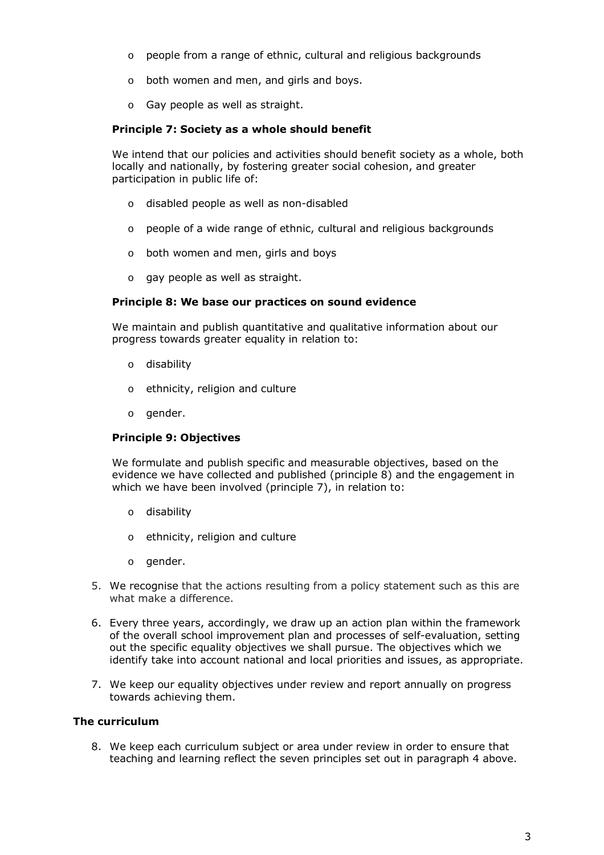- o people from a range of ethnic, cultural and religious backgrounds
- o both women and men, and girls and boys.
- o Gay people as well as straight.

# Principle 7: Society as a whole should benefit

We intend that our policies and activities should benefit society as a whole, both locally and nationally, by fostering greater social cohesion, and greater participation in public life of:

- o disabled people as well as non-disabled
- o people of a wide range of ethnic, cultural and religious backgrounds
- o both women and men, girls and boys
- o gay people as well as straight.

# Principle 8: We base our practices on sound evidence

We maintain and publish quantitative and qualitative information about our progress towards greater equality in relation to:

- o disability
- o ethnicity, religion and culture
- o gender.

# Principle 9: Objectives

We formulate and publish specific and measurable objectives, based on the evidence we have collected and published (principle 8) and the engagement in which we have been involved (principle 7), in relation to:

- o disability
- o ethnicity, religion and culture
- o gender.
- 5. We recognise that the actions resulting from a policy statement such as this are what make a difference.
- 6. Every three years, accordingly, we draw up an action plan within the framework of the overall school improvement plan and processes of self-evaluation, setting out the specific equality objectives we shall pursue. The objectives which we identify take into account national and local priorities and issues, as appropriate.
- 7. We keep our equality objectives under review and report annually on progress towards achieving them.

#### The curriculum

8. We keep each curriculum subject or area under review in order to ensure that teaching and learning reflect the seven principles set out in paragraph 4 above.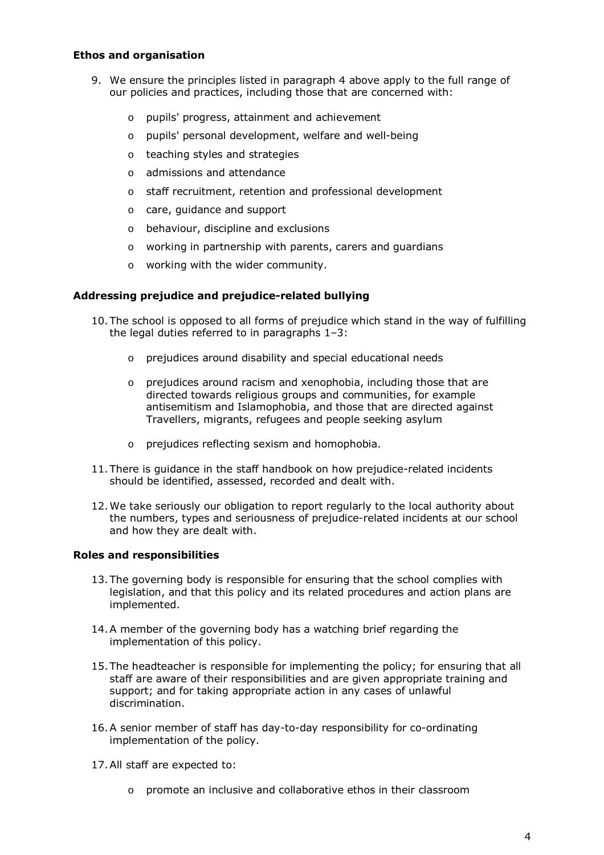# Ethos and organisation

- 9. We ensure the principles listed in paragraph 4 above apply to the full range of our policies and practices, including those that are concerned with:
	- o pupils' progress, attainment and achievement
	- o pupils' personal development, welfare and well-being
	- o teaching styles and strategies
	- o admissions and attendance
	- o staff recruitment, retention and professional development
	- o care, guidance and support
	- o behaviour, discipline and exclusions
	- o working in partnership with parents, carers and guardians
	- o working with the wider community.

# Addressing prejudice and prejudice-related bullying

- 10.The school is opposed to all forms of prejudice which stand in the way of fulfilling the legal duties referred to in paragraphs 1–3:
	- o prejudices around disability and special educational needs
	- o prejudices around racism and xenophobia, including those that are directed towards religious groups and communities, for example antisemitism and Islamophobia, and those that are directed against Travellers, migrants, refugees and people seeking asylum
	- o prejudices reflecting sexism and homophobia.
- 11.There is guidance in the staff handbook on how prejudice-related incidents should be identified, assessed, recorded and dealt with.
- 12.We take seriously our obligation to report regularly to the local authority about the numbers, types and seriousness of prejudice-related incidents at our school and how they are dealt with.

# Roles and responsibilities

- 13.The governing body is responsible for ensuring that the school complies with legislation, and that this policy and its related procedures and action plans are implemented.
- 14.A member of the governing body has a watching brief regarding the implementation of this policy.
- 15.The headteacher is responsible for implementing the policy; for ensuring that all staff are aware of their responsibilities and are given appropriate training and support; and for taking appropriate action in any cases of unlawful discrimination.
- 16.A senior member of staff has day-to-day responsibility for co-ordinating implementation of the policy.
- 17.All staff are expected to:
	- o promote an inclusive and collaborative ethos in their classroom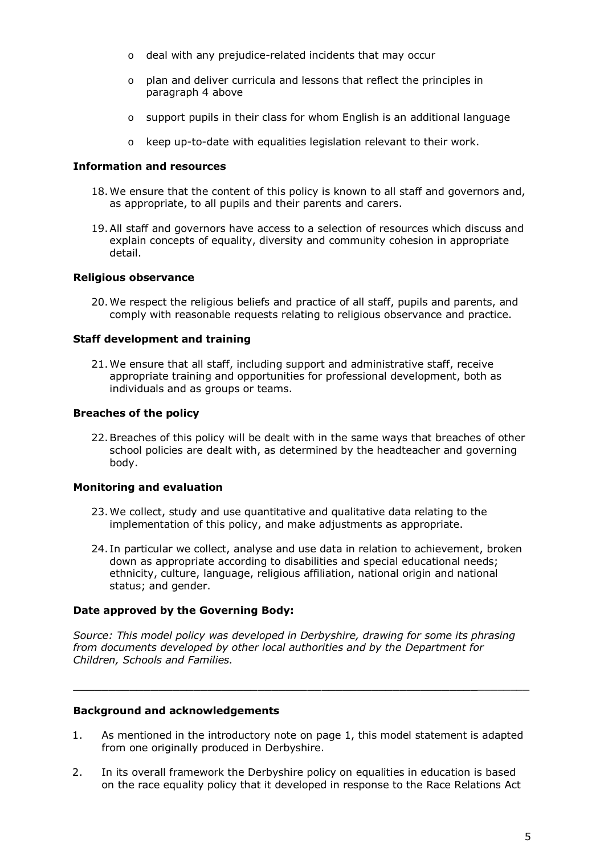- o deal with any prejudice-related incidents that may occur
- o plan and deliver curricula and lessons that reflect the principles in paragraph 4 above
- o support pupils in their class for whom English is an additional language
- o keep up-to-date with equalities legislation relevant to their work.

### Information and resources

- 18.We ensure that the content of this policy is known to all staff and governors and, as appropriate, to all pupils and their parents and carers.
- 19.All staff and governors have access to a selection of resources which discuss and explain concepts of equality, diversity and community cohesion in appropriate detail.

# Religious observance

20.We respect the religious beliefs and practice of all staff, pupils and parents, and comply with reasonable requests relating to religious observance and practice.

# Staff development and training

21.We ensure that all staff, including support and administrative staff, receive appropriate training and opportunities for professional development, both as individuals and as groups or teams.

# Breaches of the policy

22.Breaches of this policy will be dealt with in the same ways that breaches of other school policies are dealt with, as determined by the headteacher and governing body.

#### Monitoring and evaluation

- 23.We collect, study and use quantitative and qualitative data relating to the implementation of this policy, and make adjustments as appropriate.
- 24. In particular we collect, analyse and use data in relation to achievement, broken down as appropriate according to disabilities and special educational needs; ethnicity, culture, language, religious affiliation, national origin and national status; and gender.

#### Date approved by the Governing Body:

Source: This model policy was developed in Derbyshire, drawing for some its phrasing from documents developed by other local authorities and by the Department for Children, Schools and Families.

#### Background and acknowledgements

1. As mentioned in the introductory note on page 1, this model statement is adapted from one originally produced in Derbyshire.

 $\overline{a_1}$  , and the set of the set of the set of the set of the set of the set of the set of the set of the set of the set of the set of the set of the set of the set of the set of the set of the set of the set of the se

2. In its overall framework the Derbyshire policy on equalities in education is based on the race equality policy that it developed in response to the Race Relations Act